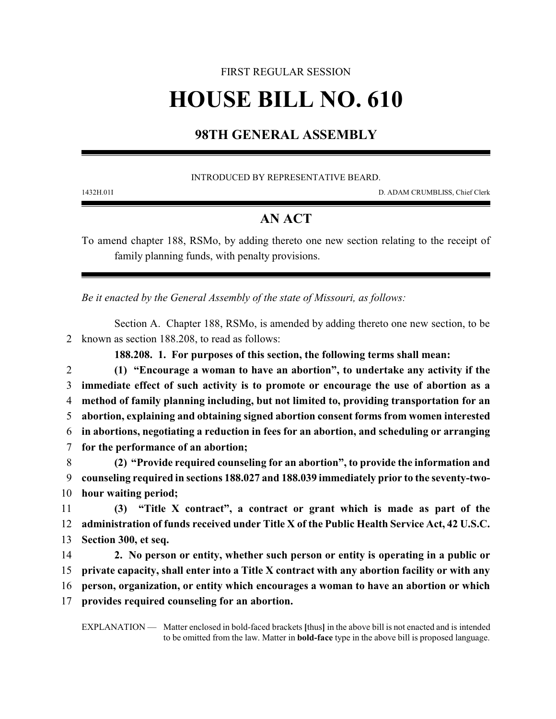## FIRST REGULAR SESSION **HOUSE BILL NO. 610**

## **98TH GENERAL ASSEMBLY**

INTRODUCED BY REPRESENTATIVE BEARD.

1432H.01I D. ADAM CRUMBLISS, Chief Clerk

## **AN ACT**

To amend chapter 188, RSMo, by adding thereto one new section relating to the receipt of family planning funds, with penalty provisions.

*Be it enacted by the General Assembly of the state of Missouri, as follows:*

Section A. Chapter 188, RSMo, is amended by adding thereto one new section, to be 2 known as section 188.208, to read as follows:

**188.208. 1. For purposes of this section, the following terms shall mean:**

 **(1) "Encourage a woman to have an abortion", to undertake any activity if the immediate effect of such activity is to promote or encourage the use of abortion as a method of family planning including, but not limited to, providing transportation for an abortion, explaining and obtaining signed abortion consent forms from women interested in abortions, negotiating a reduction in fees for an abortion, and scheduling or arranging for the performance of an abortion; (2) "Provide required counseling for an abortion", to provide the information and counseling required in sections 188.027 and 188.039 immediately prior to the seventy-two-**

10 **hour waiting period;**

11 **(3) "Title X contract", a contract or grant which is made as part of the** 12 **administration of funds received under Title X of the Public Health Service Act, 42 U.S.C.** 13 **Section 300, et seq.**

 **2. No person or entity, whether such person or entity is operating in a public or private capacity, shall enter into a Title X contract with any abortion facility or with any person, organization, or entity which encourages a woman to have an abortion or which provides required counseling for an abortion.**

EXPLANATION — Matter enclosed in bold-faced brackets **[**thus**]** in the above bill is not enacted and is intended to be omitted from the law. Matter in **bold-face** type in the above bill is proposed language.